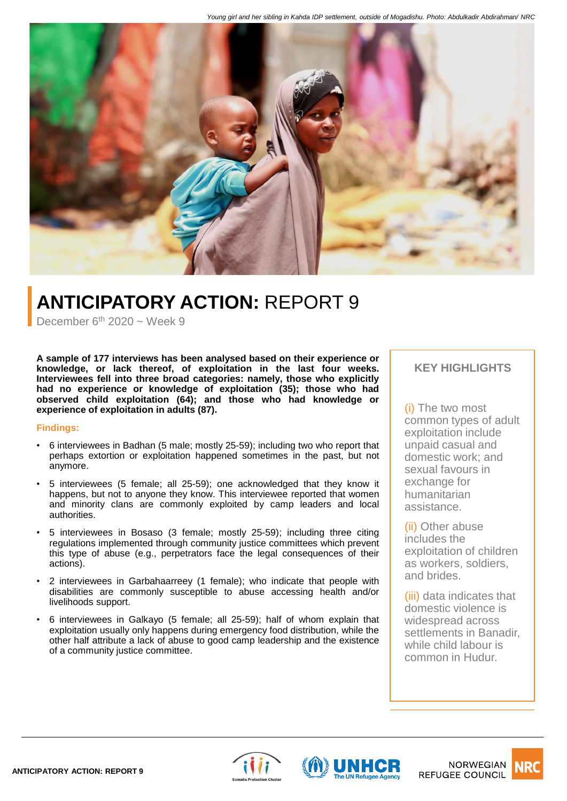

# **ANTICIPATORY ACTION:** REPORT 9

December  $6<sup>th</sup>$  2020 ~ Week 9

**A sample of 177 interviews has been analysed based on their experience or knowledge, or lack thereof, of exploitation in the last four weeks. Interviewees fell into three broad categories: namely, those who explicitly had no experience or knowledge of exploitation (35); those who had observed child exploitation (64); and those who had knowledge or experience of exploitation in adults (87).**

### **Findings:**

- 6 interviewees in Badhan (5 male; mostly 25-59); including two who report that perhaps extortion or exploitation happened sometimes in the past, but not anymore.
- 5 interviewees (5 female; all 25-59); one acknowledged that they know it happens, but not to anyone they know. This interviewee reported that women and minority clans are commonly exploited by camp leaders and local authorities.
- 5 interviewees in Bosaso (3 female; mostly 25-59); including three citing regulations implemented through community justice committees which prevent this type of abuse (e.g., perpetrators face the legal consequences of their actions).
- 2 interviewees in Garbahaarreey (1 female); who indicate that people with disabilities are commonly susceptible to abuse accessing health and/or livelihoods support.
- 6 interviewees in Galkayo (5 female; all 25-59); half of whom explain that exploitation usually only happens during emergency food distribution, while the other half attribute a lack of abuse to good camp leadership and the existence of a community justice committee.

## **KEY HIGHLIGHTS**

(i) The two most common types of adult exploitation include unpaid casual and domestic work; and sexual favours in exchange for humanitarian assistance.

(ii) Other abuse includes the exploitation of children as workers, soldiers, and brides.

(iii) data indicates that domestic violence is widespread across settlements in Banadir, while child labour is common in Hudur.